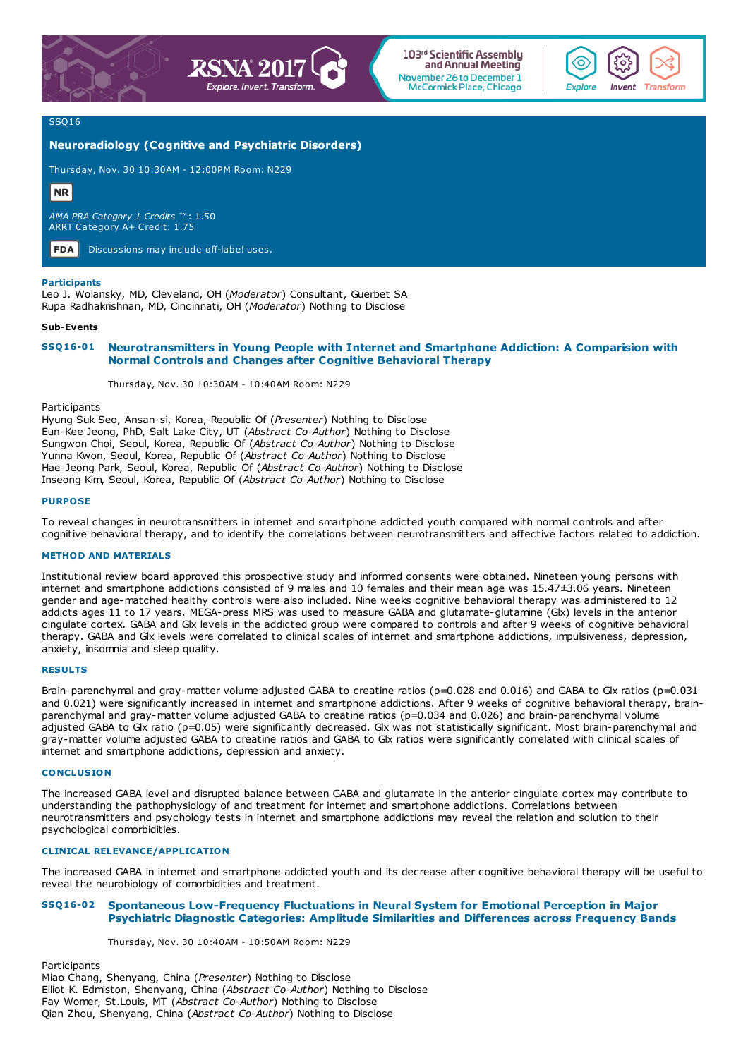



103<sup>rd</sup> Scientific Assemblu and Annual Meeting November 26 to December 1 **McCormick Place, Chicago** 



## SSQ16

# **Neuroradiology (Cognitive and Psychiatric Disorders)**

Thursday, Nov. 30 10:30AM - 12:00PM Room: N229

# **NR**

*AMA PRA Category 1 Credits* ™: 1.50 ARRT Category A+ Credit: 1.75

**FDA** Discussions may include off-label uses.

## **Participants**

Leo J. Wolansky, MD, Cleveland, OH (*Moderator*) Consultant, Guerbet SA Rupa Radhakrishnan, MD, Cincinnati, OH (*Moderator*) Nothing to Disclose

#### **Sub-Events**

# **SSQ16-01 Neurotransmitters in Young People with Internet and Smartphone Addiction: A Comparision with Normal Controls and Changes after Cognitive Behavioral Therapy**

Thursday, Nov. 30 10:30AM - 10:40AM Room: N229

**Participants** 

Hyung Suk Seo, Ansan-si, Korea, Republic Of (*Presenter*) Nothing to Disclose Eun-Kee Jeong, PhD, Salt Lake City, UT (*Abstract Co-Author*) Nothing to Disclose Sungwon Choi, Seoul, Korea, Republic Of (*Abstract Co-Author*) Nothing to Disclose Yunna Kwon, Seoul, Korea, Republic Of (*Abstract Co-Author*) Nothing to Disclose Hae-Jeong Park, Seoul, Korea, Republic Of (*Abstract Co-Author*) Nothing to Disclose Inseong Kim, Seoul, Korea, Republic Of (*Abstract Co-Author*) Nothing to Disclose

# **PURPOSE**

To reveal changes in neurotransmitters in internet and smartphone addicted youth compared with normal controls and after cognitive behavioral therapy, and to identify the correlations between neurotransmitters and affective factors related to addiction.

# **METHOD AND MATERIALS**

Institutional review board approved this prospective study and informed consents were obtained. Nineteen young persons with internet and smartphone addictions consisted of 9 males and 10 females and their mean age was 15.47±3.06 years. Nineteen gender and age-matched healthy controls were also included. Nine weeks cognitive behavioral therapy was administered to 12 addicts ages 11 to 17 years. MEGA-press MRS was used to measure GABA and glutamate-glutamine (Glx) levels in the anterior cingulate cortex. GABA and Glx levels in the addicted group were compared to controls and after 9 weeks of cognitive behavioral therapy. GABA and Glx levels were correlated to clinical scales of internet and smartphone addictions, impulsiveness, depression, anxiety, insomnia and sleep quality.

### **RESULTS**

Brain-parenchymal and gray-matter volume adjusted GABA to creatine ratios (p=0.028 and 0.016) and GABA to Glx ratios (p=0.031 and 0.021) were significantly increased in internet and smartphone addictions. After 9 weeks of cognitive behavioral therapy, brainparenchymal and gray-matter volume adjusted GABA to creatine ratios (p=0.034 and 0.026) and brain-parenchymal volume adjusted GABA to Glx ratio (p=0.05) were significantly decreased. Glx was not statistically significant. Most brain-parenchymal and gray-matter volume adjusted GABA to creatine ratios and GABA to Glx ratios were significantly correlated with clinical scales of internet and smartphone addictions, depression and anxiety.

### **CONCLUSION**

The increased GABA level and disrupted balance between GABA and glutamate in the anterior cingulate cortex may contribute to understanding the pathophysiology of and treatment for internet and smartphone addictions. Correlations between neurotransmitters and psychology tests in internet and smartphone addictions may reveal the relation and solution to their psychological comorbidities.

# **CLINICAL RELEVANCE/APPLICATION**

The increased GABA in internet and smartphone addicted youth and its decrease after cognitive behavioral therapy will be useful to reveal the neurobiology of comorbidities and treatment.

# **SSQ16-02 Spontaneous Low-Frequency Fluctuations in Neural System for Emotional Perception in Major Psychiatric Diagnostic Categories: Amplitude Similarities and Differences across Frequency Bands**

Thursday, Nov. 30 10:40AM - 10:50AM Room: N229

Participants Miao Chang, Shenyang, China (*Presenter*) Nothing to Disclose Elliot K. Edmiston, Shenyang, China (*Abstract Co-Author*) Nothing to Disclose Fay Womer, St.Louis, MT (*Abstract Co-Author*) Nothing to Disclose Qian Zhou, Shenyang, China (*Abstract Co-Author*) Nothing to Disclose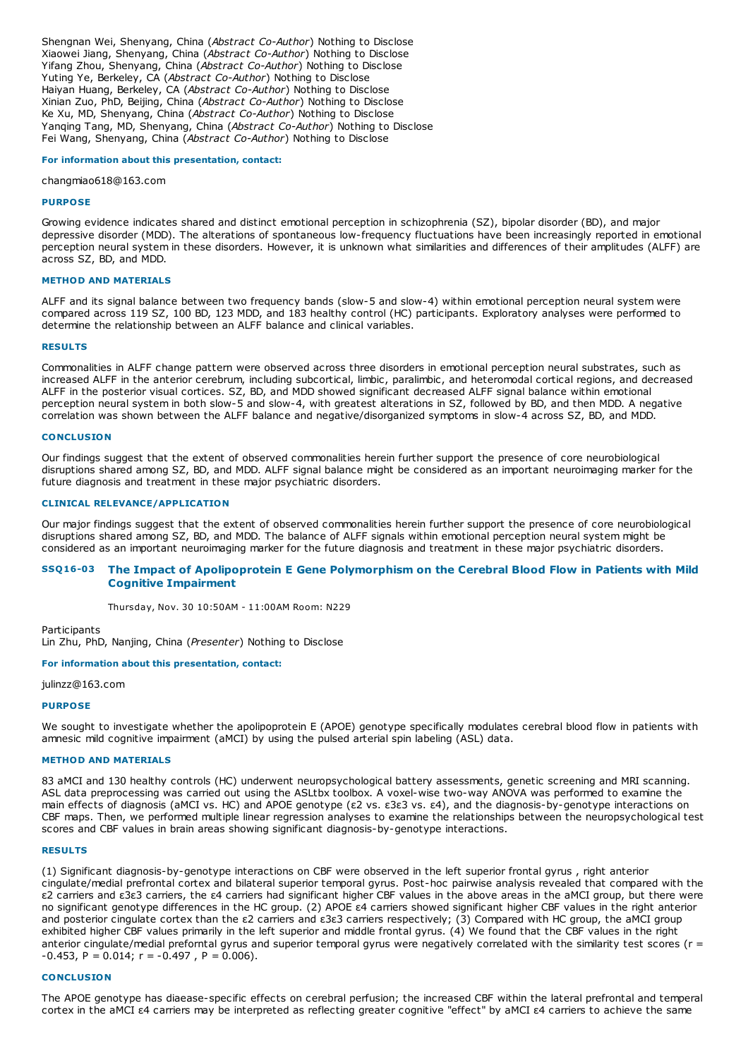Shengnan Wei, Shenyang, China (*Abstract Co-Author*) Nothing to Disclose Xiaowei Jiang, Shenyang, China (*Abstract Co-Author*) Nothing to Disclose Yifang Zhou, Shenyang, China (*Abstract Co-Author*) Nothing to Disclose Yuting Ye, Berkeley, CA (*Abstract Co-Author*) Nothing to Disclose Haiyan Huang, Berkeley, CA (*Abstract Co-Author*) Nothing to Disclose Xinian Zuo, PhD, Beijing, China (*Abstract Co-Author*) Nothing to Disclose Ke Xu, MD, Shenyang, China (*Abstract Co-Author*) Nothing to Disclose Yanqing Tang, MD, Shenyang, China (*Abstract Co-Author*) Nothing to Disclose Fei Wang, Shenyang, China (*Abstract Co-Author*) Nothing to Disclose

#### **For information about this presentation, contact:**

changmiao618@163.com

# **PURPOSE**

Growing evidence indicates shared and distinct emotional perception in schizophrenia (SZ), bipolar disorder (BD), and major depressive disorder (MDD). The alterations of spontaneous low-frequency fluctuations have been increasingly reported in emotional perception neural system in these disorders. However, it is unknown what similarities and differences of their amplitudes (ALFF) are across SZ, BD, and MDD.

# **METHOD AND MATERIALS**

ALFF and its signal balance between two frequency bands (slow-5 and slow-4) within emotional perception neural system were compared across 119 SZ, 100 BD, 123 MDD, and 183 healthy control (HC) participants. Exploratory analyses were performed to determine the relationship between an ALFF balance and clinical variables.

#### **RESULTS**

Commonalities in ALFF change pattern were observed across three disorders in emotional perception neural substrates, such as increased ALFF in the anterior cerebrum, including subcortical, limbic, paralimbic, and heteromodal cortical regions, and decreased ALFF in the posterior visual cortices. SZ, BD, and MDD showed significant decreased ALFF signal balance within emotional perception neural system in both slow-5 and slow-4, with greatest alterations in SZ, followed by BD, and then MDD. A negative correlation was shown between the ALFF balance and negative/disorganized symptoms in slow-4 across SZ, BD, and MDD.

#### **CONCLUSION**

Our findings suggest that the extent of observed commonalities herein further support the presence of core neurobiological disruptions shared among SZ, BD, and MDD. ALFF signal balance might be considered as an important neuroimaging marker for the future diagnosis and treatment in these major psychiatric disorders.

## **CLINICAL RELEVANCE/APPLICATION**

Our major findings suggest that the extent of observed commonalities herein further support the presence of core neurobiological disruptions shared among SZ, BD, and MDD. The balance of ALFF signals within emotional perception neural system might be considered as an important neuroimaging marker for the future diagnosis and treatment in these major psychiatric disorders.

# SSQ16-03 The Impact of Apolipoprotein E Gene Polymorphism on the Cerebral Blood Flow in Patients with Mild **Cognitive Impairment**

Thursday, Nov. 30 10:50AM - 11:00AM Room: N229

Participants

Lin Zhu, PhD, Nanjing, China (*Presenter*) Nothing to Disclose

**For information about this presentation, contact:**

julinzz@163.com

## **PURPOSE**

We sought to investigate whether the apolipoprotein E (APOE) genotype specifically modulates cerebral blood flow in patients with amnesic mild cognitive impairment (aMCI) by using the pulsed arterial spin labeling (ASL) data.

#### **METHOD AND MATERIALS**

83 aMCI and 130 healthy controls (HC) underwent neuropsychological battery assessments, genetic screening and MRI scanning. ASL data preprocessing was carried out using the ASLtbx toolbox. A voxel-wise two-way ANOVA was performed to examine the main effects of diagnosis (aMCI vs. HC) and APOE genotype (ε2 vs. ε3ε3 vs. ε4), and the diagnosis-by-genotype interactions on CBF maps. Then, we performed multiple linear regression analyses to examine the relationships between the neuropsychological test scores and CBF values in brain areas showing significant diagnosis-by-genotype interactions.

### **RESULTS**

(1) Significant diagnosis-by-genotype interactions on CBF were observed in the left superior frontal gyrus , right anterior cingulate/medial prefrontal cortex and bilateral superior temporal gyrus. Post-hoc pairwise analysis revealed that compared with the ε2 carriers and ε3ε3 carriers, the ε4 carriers had significant higher CBF values in the above areas in the aMCI group, but there were no significant genotype differences in the HC group. (2) APOE ε4 carriers showed significant higher CBF values in the right anterior and posterior cingulate cortex than the ε2 carriers and ε3ε3 carriers respectively; (3) Compared with HC group, the aMCI group exhibited higher CBF values primarily in the left superior and middle frontal gyrus. (4) We found that the CBF values in the right anterior cingulate/medial preforntal gyrus and superior temporal gyrus were negatively correlated with the similarity test scores (r =  $-0.453$ , P = 0.014; r =  $-0.497$ , P = 0.006).

### **CONCLUSION**

The APOE genotype has diaease-specific effects on cerebral perfusion; the increased CBF within the lateral prefrontal and temperal cortex in the aMCI ε4 carriers may be interpreted as reflecting greater cognitive "effect" by aMCI ε4 carriers to achieve the same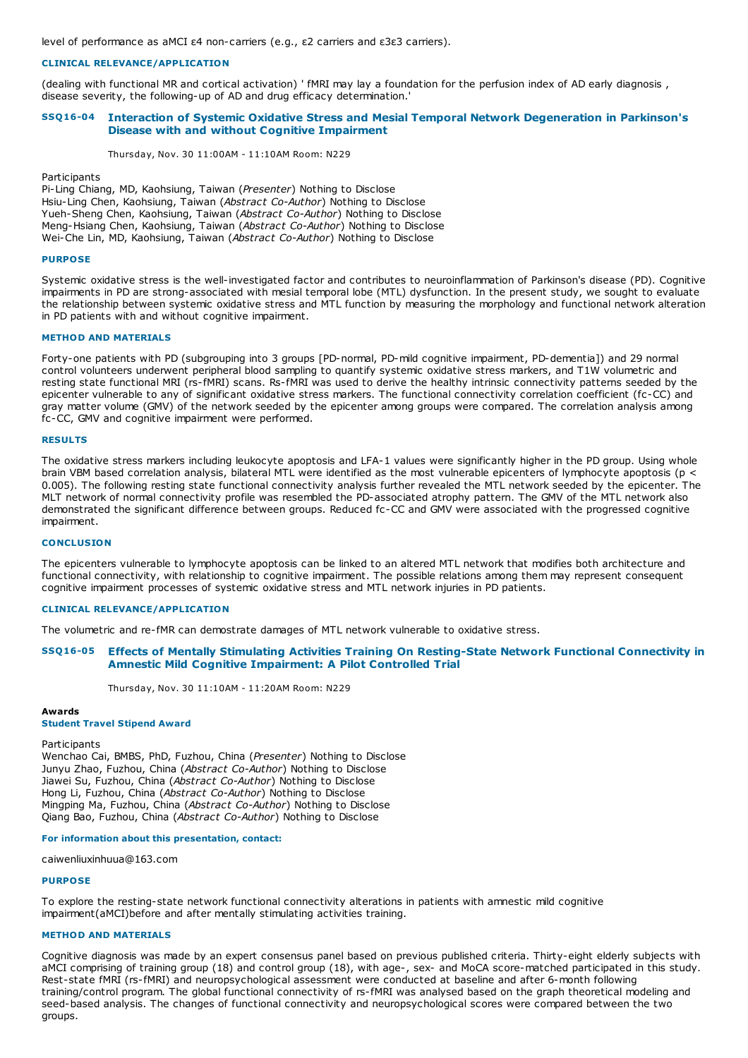level of performance as aMCI ε4 non-carriers (e.g., ε2 carriers and ε3ε3 carriers).

# **CLINICAL RELEVANCE/APPLICATION**

(dealing with functional MR and cortical activation) ' fMRI may lay a foundation for the perfusion index of AD early diagnosis , disease severity, the following-up of AD and drug efficacy determination.'

# **SSQ16-04 Interaction of Systemic Oxidative Stress and Mesial Temporal Network Degeneration in Parkinson's Disease with and without Cognitive Impairment**

Thursday, Nov. 30 11:00AM - 11:10AM Room: N229

**Participants** 

Pi-Ling Chiang, MD, Kaohsiung, Taiwan (*Presenter*) Nothing to Disclose Hsiu-Ling Chen, Kaohsiung, Taiwan (*Abstract Co-Author*) Nothing to Disclose Yueh-Sheng Chen, Kaohsiung, Taiwan (*Abstract Co-Author*) Nothing to Disclose Meng-Hsiang Chen, Kaohsiung, Taiwan (*Abstract Co-Author*) Nothing to Disclose Wei-Che Lin, MD, Kaohsiung, Taiwan (*Abstract Co-Author*) Nothing to Disclose

## **PURPOSE**

Systemic oxidative stress is the well-investigated factor and contributes to neuroinflammation of Parkinson's disease (PD). Cognitive impairments in PD are strong-associated with mesial temporal lobe (MTL) dysfunction. In the present study, we sought to evaluate the relationship between systemic oxidative stress and MTL function by measuring the morphology and functional network alteration in PD patients with and without cognitive impairment.

## **METHOD AND MATERIALS**

Forty-one patients with PD (subgrouping into 3 groups [PD-normal, PD-mild cognitive impairment, PD-dementia]) and 29 normal control volunteers underwent peripheral blood sampling to quantify systemic oxidative stress markers, and T1W volumetric and resting state functional MRI (rs-fMRI) scans. Rs-fMRI was used to derive the healthy intrinsic connectivity patterns seeded by the epicenter vulnerable to any of significant oxidative stress markers. The functional connectivity correlation coefficient (fc-CC) and gray matter volume (GMV) of the network seeded by the epicenter among groups were compared. The correlation analysis among fc-CC, GMV and cognitive impairment were performed.

## **RESULTS**

The oxidative stress markers including leukocyte apoptosis and LFA-1 values were significantly higher in the PD group. Using whole brain VBM based correlation analysis, bilateral MTL were identified as the most vulnerable epicenters of lymphocyte apoptosis (p < 0.005). The following resting state functional connectivity analysis further revealed the MTL network seeded by the epicenter. The MLT network of normal connectivity profile was resembled the PD-associated atrophy pattern. The GMV of the MTL network also demonstrated the significant difference between groups. Reduced fc-CC and GMV were associated with the progressed cognitive impairment.

# **CONCLUSION**

The epicenters vulnerable to lymphocyte apoptosis can be linked to an altered MTL network that modifies both architecture and functional connectivity, with relationship to cognitive impairment. The possible relations among them may represent consequent cognitive impairment processes of systemic oxidative stress and MTL network injuries in PD patients.

### **CLINICAL RELEVANCE/APPLICATION**

The volumetric and re-fMR can demostrate damages of MTL network vulnerable to oxidative stress.

# **SSQ16-05 Effects of Mentally Stimulating Activities Training On Resting-State Network Functional Connectivity in Amnestic Mild Cognitive Impairment: A Pilot Controlled Trial**

Thursday, Nov. 30 11:10AM - 11:20AM Room: N229

#### **Awards**

# **Student Travel Stipend Award**

## **Participants**

Wenchao Cai, BMBS, PhD, Fuzhou, China (*Presenter*) Nothing to Disclose Junyu Zhao, Fuzhou, China (*Abstract Co-Author*) Nothing to Disclose Jiawei Su, Fuzhou, China (*Abstract Co-Author*) Nothing to Disclose Hong Li, Fuzhou, China (*Abstract Co-Author*) Nothing to Disclose Mingping Ma, Fuzhou, China (*Abstract Co-Author*) Nothing to Disclose Qiang Bao, Fuzhou, China (*Abstract Co-Author*) Nothing to Disclose

### **For information about this presentation, contact:**

caiwenliuxinhuua@163.com

#### **PURPOSE**

To explore the resting-state network functional connectivity alterations in patients with amnestic mild cognitive impairment(aMCI)before and after mentally stimulating activities training.

# **METHOD AND MATERIALS**

Cognitive diagnosis was made by an expert consensus panel based on previous published criteria. Thirty-eight elderly subjects with aMCI comprising of training group (18) and control group (18), with age-, sex- and MoCA score-matched participated in this study. Rest-state fMRI (rs-fMRI) and neuropsychological assessment were conducted at baseline and after 6-month following training/control program. The global functional connectivity of rs-fMRI was analysed based on the graph theoretical modeling and seed-based analysis. The changes of functional connectivity and neuropsychological scores were compared between the two groups.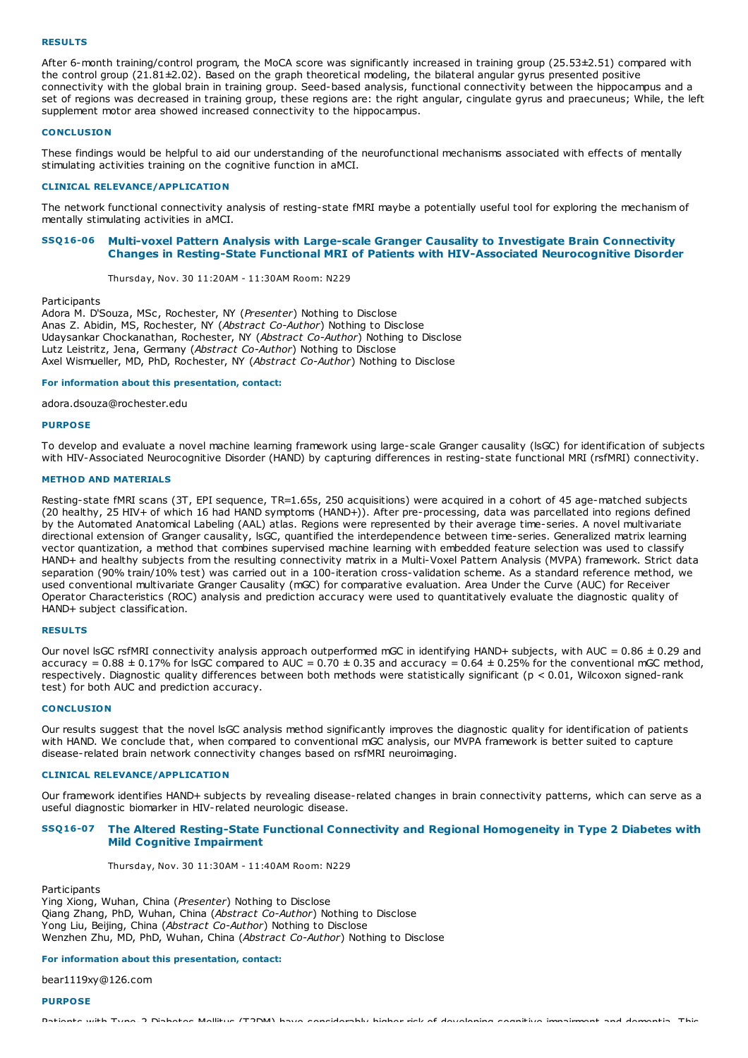#### **RESULTS**

After 6-month training/control program, the MoCA score was significantly increased in training group (25.53±2.51) compared with the control group (21.81±2.02). Based on the graph theoretical modeling, the bilateral angular gyrus presented positive connectivity with the global brain in training group. Seed-based analysis, functional connectivity between the hippocampus and a set of regions was decreased in training group, these regions are: the right angular, cingulate gyrus and praecuneus; While, the left supplement motor area showed increased connectivity to the hippocampus.

# **CONCLUSION**

These findings would be helpful to aid our understanding of the neurofunctional mechanisms associated with effects of mentally stimulating activities training on the cognitive function in aMCI.

# **CLINICAL RELEVANCE/APPLICATION**

The network functional connectivity analysis of resting-state fMRI maybe a potentially useful tool for exploring the mechanism of mentally stimulating activities in aMCI.

# **SSQ16-06 Multi-voxel Pattern Analysis with Large-scale Granger Causality to Investigate Brain Connectivity Changes in Resting-State Functional MRI of Patients with HIV-Associated Neurocognitive Disorder**

Thursday, Nov. 30 11:20AM - 11:30AM Room: N229

**Participants** 

Adora M. D'Souza, MSc, Rochester, NY (*Presenter*) Nothing to Disclose Anas Z. Abidin, MS, Rochester, NY (*Abstract Co-Author*) Nothing to Disclose Udaysankar Chockanathan, Rochester, NY (*Abstract Co-Author*) Nothing to Disclose Lutz Leistritz, Jena, Germany (*Abstract Co-Author*) Nothing to Disclose Axel Wismueller, MD, PhD, Rochester, NY (*Abstract Co-Author*) Nothing to Disclose

## **For information about this presentation, contact:**

adora.dsouza@rochester.edu

#### **PURPOSE**

To develop and evaluate a novel machine learning framework using large-scale Granger causality (lsGC) for identification of subjects with HIV-Associated Neurocognitive Disorder (HAND) by capturing differences in resting-state functional MRI (rsfMRI) connectivity.

#### **METHOD AND MATERIALS**

Resting-state fMRI scans (3T, EPI sequence, TR=1.65s, 250 acquisitions) were acquired in a cohort of 45 age-matched subjects (20 healthy, 25 HIV+ of which 16 had HAND symptoms (HAND+)). After pre-processing, data was parcellated into regions defined by the Automated Anatomical Labeling (AAL) atlas. Regions were represented by their average time-series. A novel multivariate directional extension of Granger causality, lsGC, quantified the interdependence between time-series. Generalized matrix learning vector quantization, a method that combines supervised machine learning with embedded feature selection was used to classify HAND+ and healthy subjects from the resulting connectivity matrix in a Multi-Voxel Pattern Analysis (MVPA) framework. Strict data separation (90% train/10% test) was carried out in a 100-iteration cross-validation scheme. As a standard reference method, we used conventional multivariate Granger Causality (mGC) for comparative evaluation. Area Under the Curve (AUC) for Receiver Operator Characteristics (ROC) analysis and prediction accuracy were used to quantitatively evaluate the diagnostic quality of HAND+ subject classification.

#### **RESULTS**

Our novel IsGC rsfMRI connectivity analysis approach outperformed mGC in identifying HAND+ subjects, with AUC =  $0.86 \pm 0.29$  and accuracy =  $0.88 \pm 0.17$ % for lsGC compared to AUC =  $0.70 \pm 0.35$  and accuracy =  $0.64 \pm 0.25$ % for the conventional mGC method, respectively. Diagnostic quality differences between both methods were statistically significant (p < 0.01, Wilcoxon signed-rank test) for both AUC and prediction accuracy.

# **CONCLUSION**

Our results suggest that the novel lsGC analysis method significantly improves the diagnostic quality for identification of patients with HAND. We conclude that, when compared to conventional mGC analysis, our MVPA framework is better suited to capture disease-related brain network connectivity changes based on rsfMRI neuroimaging.

## **CLINICAL RELEVANCE/APPLICATION**

Our framework identifies HAND+ subjects by revealing disease-related changes in brain connectivity patterns, which can serve as a useful diagnostic biomarker in HIV-related neurologic disease.

# **SSQ16-07 The Altered Resting-State Functional Connectivity and Regional Homogeneity in Type 2 Diabetes with Mild Cognitive Impairment**

Thursday, Nov. 30 11:30AM - 11:40AM Room: N229

**Participants** 

Ying Xiong, Wuhan, China (*Presenter*) Nothing to Disclose Qiang Zhang, PhD, Wuhan, China (*Abstract Co-Author*) Nothing to Disclose Yong Liu, Beijing, China (*Abstract Co-Author*) Nothing to Disclose Wenzhen Zhu, MD, PhD, Wuhan, China (*Abstract Co-Author*) Nothing to Disclose

## **For information about this presentation, contact:**

bear1119xy@126.com

# **PURPOSE**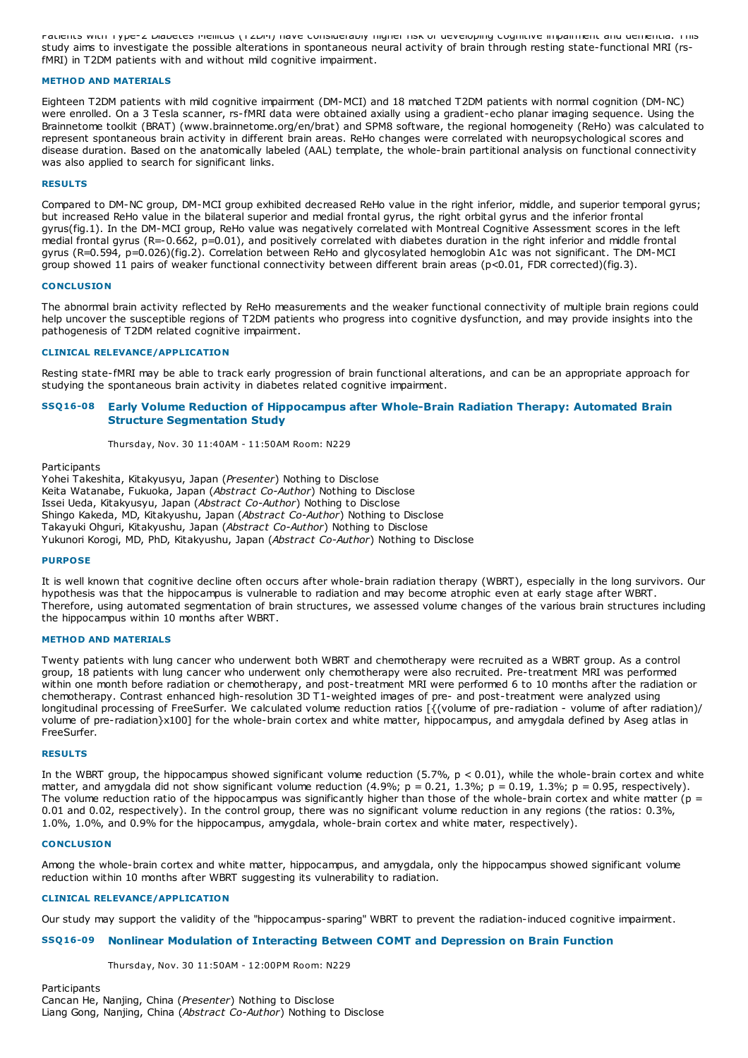Patients with Type-2 Diabetes Mellitus (T2DM) have considerably higher risk of developing cognitive impairment and dementia. This study aims to investigate the possible alterations in spontaneous neural activity of brain through resting state-functional MRI (rsfMRI) in T2DM patients with and without mild cognitive impairment.

## **METHOD AND MATERIALS**

Eighteen T2DM patients with mild cognitive impairment (DM-MCI) and 18 matched T2DM patients with normal cognition (DM-NC) were enrolled. On a 3 Tesla scanner, rs-fMRI data were obtained axially using a gradient-echo planar imaging sequence. Using the Brainnetome toolkit (BRAT) (www.brainnetome.org/en/brat) and SPM8 software, the regional homogeneity (ReHo) was calculated to represent spontaneous brain activity in different brain areas. ReHo changes were correlated with neuropsychological scores and disease duration. Based on the anatomically labeled (AAL) template, the whole-brain partitional analysis on functional connectivity was also applied to search for significant links.

## **RESULTS**

Compared to DM-NC group, DM-MCI group exhibited decreased ReHo value in the right inferior, middle, and superior temporal gyrus; but increased ReHo value in the bilateral superior and medial frontal gyrus, the right orbital gyrus and the inferior frontal gyrus(fig.1). In the DM-MCI group, ReHo value was negatively correlated with Montreal Cognitive Assessment scores in the left medial frontal gyrus (R=-0.662, p=0.01), and positively correlated with diabetes duration in the right inferior and middle frontal gyrus (R=0.594, p=0.026)(fig.2). Correlation between ReHo and glycosylated hemoglobin A1c was not significant. The DM-MCI group showed 11 pairs of weaker functional connectivity between different brain areas (p<0.01, FDR corrected)(fig.3).

## **CONCLUSION**

The abnormal brain activity reflected by ReHo measurements and the weaker functional connectivity of multiple brain regions could help uncover the susceptible regions of T2DM patients who progress into cognitive dysfunction, and may provide insights into the pathogenesis of T2DM related cognitive impairment.

## **CLINICAL RELEVANCE/APPLICATION**

Resting state-fMRI may be able to track early progression of brain functional alterations, and can be an appropriate approach for studying the spontaneous brain activity in diabetes related cognitive impairment.

# **SSQ16-08 Early Volume Reduction of Hippocampus after Whole-Brain Radiation Therapy: Automated Brain Structure Segmentation Study**

Thursday, Nov. 30 11:40AM - 11:50AM Room: N229

**Participants** 

Yohei Takeshita, Kitakyusyu, Japan (*Presenter*) Nothing to Disclose Keita Watanabe, Fukuoka, Japan (*Abstract Co-Author*) Nothing to Disclose Issei Ueda, Kitakyusyu, Japan (*Abstract Co-Author*) Nothing to Disclose Shingo Kakeda, MD, Kitakyushu, Japan (*Abstract Co-Author*) Nothing to Disclose Takayuki Ohguri, Kitakyushu, Japan (*Abstract Co-Author*) Nothing to Disclose Yukunori Korogi, MD, PhD, Kitakyushu, Japan (*Abstract Co-Author*) Nothing to Disclose

### **PURPOSE**

It is well known that cognitive decline often occurs after whole-brain radiation therapy (WBRT), especially in the long survivors. Our hypothesis was that the hippocampus is vulnerable to radiation and may become atrophic even at early stage after WBRT. Therefore, using automated segmentation of brain structures, we assessed volume changes of the various brain structures including the hippocampus within 10 months after WBRT.

# **METHOD AND MATERIALS**

Twenty patients with lung cancer who underwent both WBRT and chemotherapy were recruited as a WBRT group. As a control group, 18 patients with lung cancer who underwent only chemotherapy were also recruited. Pre-treatment MRI was performed within one month before radiation or chemotherapy, and post-treatment MRI were performed 6 to 10 months after the radiation or chemotherapy. Contrast enhanced high-resolution 3D T1-weighted images of pre- and post-treatment were analyzed using longitudinal processing of FreeSurfer. We calculated volume reduction ratios [{(volume of pre-radiation - volume of after radiation)/ volume of pre-radiation}x100] for the whole-brain cortex and white matter, hippocampus, and amygdala defined by Aseg atlas in FreeSurfer.

#### **RESULTS**

In the WBRT group, the hippocampus showed significant volume reduction  $(5.7\% , p < 0.01)$ , while the whole-brain cortex and white matter, and amygdala did not show significant volume reduction  $(4.9\%; p = 0.21, 1.3\%; p = 0.19, 1.3\%; p = 0.95$ , respectively). The volume reduction ratio of the hippocampus was significantly higher than those of the whole-brain cortex and white matter ( $p =$ 0.01 and 0.02, respectively). In the control group, there was no significant volume reduction in any regions (the ratios: 0.3%, 1.0%, 1.0%, and 0.9% for the hippocampus, amygdala, whole-brain cortex and white mater, respectively).

## **CONCLUSION**

Among the whole-brain cortex and white matter, hippocampus, and amygdala, only the hippocampus showed significant volume reduction within 10 months after WBRT suggesting its vulnerability to radiation.

#### **CLINICAL RELEVANCE/APPLICATION**

Our study may support the validity of the "hippocampus-sparing" WBRT to prevent the radiation-induced cognitive impairment.

## **SSQ16-09 Nonlinear Modulation of Interacting Between COMT and Depression on Brain Function**

Thursday, Nov. 30 11:50AM - 12:00PM Room: N229